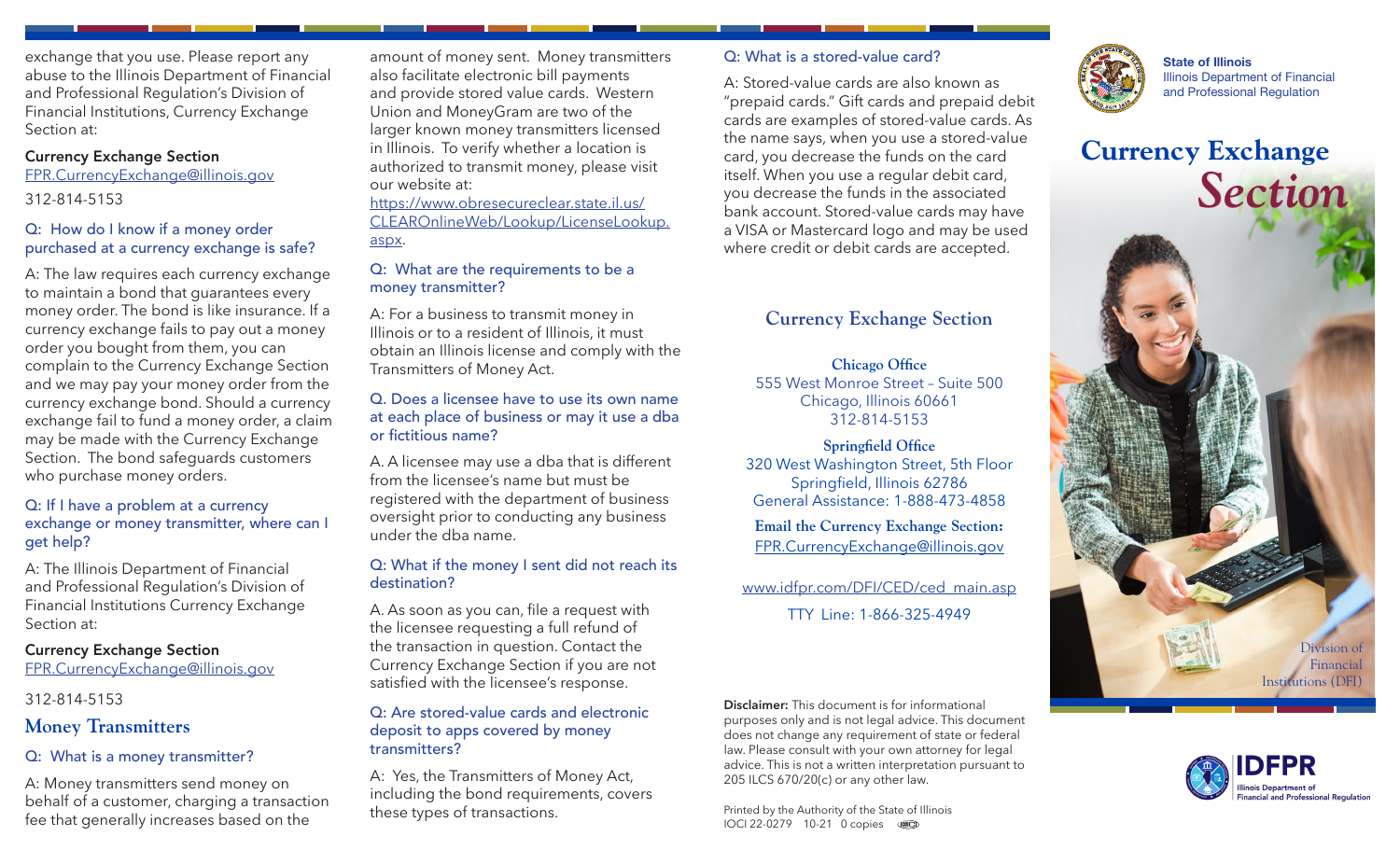exchange that you use. Please report any abuse to the Illinois Department of Financial and Professional Regulation's Division of Financial Institutions, Currency Exchange Section at:

### Currency Exchange Section

FPR.CurrencyExchange@illinois.gov

312-814-5153

### Q: How do I know if a money order purchased at a currency exchange is safe?

A: The law requires each currency exchange to maintain a bond that guarantees every money order. The bond is like insurance. If a currency exchange fails to pay out a money order you bought from them, you can complain to the Currency Exchange Section and we may pay your money order from the currency exchange bond. Should a currency exchange fail to fund a money order, a claim may be made with the Currency Exchange Section. The bond safeguards customers who purchase money orders.

### Q: If I have a problem at a currency exchange or money transmitter, where can I get help?

A: The Illinois Department of Financial and Professional Regulation's Division of Financial Institutions Currency Exchange Section at:

# Currency Exchange Section

FPR.CurrencyExchange@illinois.gov

# 312-814-5153

# **Money Transmitters**

# Q: What is a money transmitter?

A: Money transmitters send money on behalf of a customer, charging a transaction fee that generally increases based on the

amount of money sent. Money transmitters also facilitate electronic bill payments and provide stored value cards. Western Union and MoneyGram are two of the larger known money transmitters licensed in Illinois. To verify whether a location is authorized to transmit money, please visit our website at:

[https://www.obresecureclear.state.il.us/](https://www.obresecureclear.state.il.us/CLEAROnlineWeb/Lookup/LicenseLookup.aspx) [CLEAROnlineWeb/Lookup/LicenseLookup.](https://www.obresecureclear.state.il.us/CLEAROnlineWeb/Lookup/LicenseLookup.aspx) [aspx](https://www.obresecureclear.state.il.us/CLEAROnlineWeb/Lookup/LicenseLookup.aspx).

### Q: What are the requirements to be a money transmitter?

A: For a business to transmit money in Illinois or to a resident of Illinois, it must obtain an Illinois license and comply with the Transmitters of Money Act.

### Q. Does a licensee have to use its own name at each place of business or may it use a dba or fictitious name?

A. A licensee may use a dba that is different from the licensee's name but must be registered with the department of business oversight prior to conducting any business under the dba name.

### Q: What if the money I sent did not reach its destination?

A. As soon as you can, file a request with the licensee requesting a full refund of the transaction in question. Contact the Currency Exchange Section if you are not satisfied with the licensee's response.

### Q: Are stored-value cards and electronic deposit to apps covered by money transmitters?

A: Yes, the Transmitters of Money Act, including the bond requirements, covers these types of transactions.

# Q: What is a stored-value card?

A: Stored-value cards are also known as "prepaid cards." Gift cards and prepaid debit cards are examples of stored-value cards. As the name says, when you use a stored-value card, you decrease the funds on the card itself. When you use a regular debit card, you decrease the funds in the associated bank account. Stored-value cards may have a VISA or Mastercard logo and may be used where credit or debit cards are accepted.

# **Currency Exchange Section**

**Chicago Office**  555 West Monroe Street – Suite 500 Chicago, Illinois 60661 312-814-5153

**Springfield Office** 320 West Washington Street, 5th Floor Springfield, Illinois 62786 General Assistance: 1-888-473-4858

**Email the Currency Exchange Section:** [FPR.CurrencyExchange@illinois.gov](mailto:FPR.CurrencyExchange%40illinois.gov?subject=)

www.idfpr.com/DFI/CED/ced\_main.asp TTY Line: 1-866-325-4949

**Disclaimer:** This document is for informational purposes only and is not legal advice. This document does not change any requirement of state or federal law. Please consult with your own attorney for legal advice. This is not a written interpretation pursuant to 205 ILCS 670/20(c) or any other law.

Printed by the Authority of the State of Illinois IOCI 22-0279 10-21 0 copies



State of Illinois Illinois Department of Financial and Professional Regulation